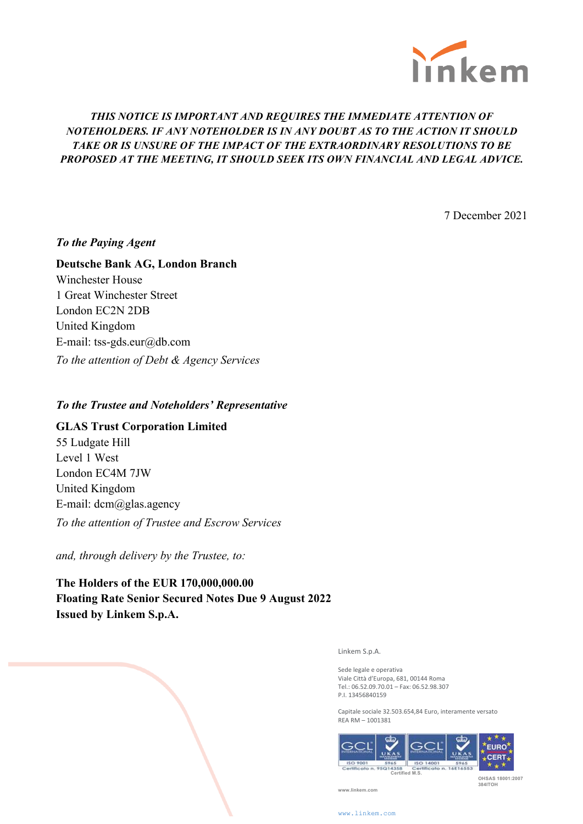

# *THIS NOTICE IS IMPORTANT AND REQUIRES THE IMMEDIATE ATTENTION OF NOTEHOLDERS. IF ANY NOTEHOLDER IS IN ANY DOUBT AS TO THE ACTION IT SHOULD TAKE OR IS UNSURE OF THE IMPACT OF THE EXTRAORDINARY RESOLUTIONS TO BE PROPOSED AT THE MEETING, IT SHOULD SEEK ITS OWN FINANCIAL AND LEGAL ADVICE.*

7 December 2021

## *To the Paying Agent*

## **Deutsche Bank AG, London Branch**

Winchester House 1 Great Winchester Street London EC2N 2DB United Kingdom E-mail: tss-gds.eur@db.com *To the attention of Debt & Agency Services*

### *To the Trustee and Noteholders' Representative*

## **GLAS Trust Corporation Limited**

55 Ludgate Hill Level 1 West London EC4M 7JW United Kingdom E-mail:  $dem@g$ las.agency *To the attention of Trustee and Escrow Services*

*and, through delivery by the Trustee, to:*

**The Holders of the EUR 170,000,000.00 Floating Rate Senior Secured Notes Due 9 August 2022 Issued by Linkem S.p.A.**

Linkem S.p.A.

Sede legale e operativa Viale Città d'Europa, 681, 00144 Roma Tel.: 06.52.09.70.01 - Fax: 06.52.98.307 P.I. 13456840159

Capitale sociale 32.503.654,84 Euro, interamente versato REA RM – 1001381



 **OHSAS 18001:2007 384ITOH**

**www.linkem.com**

www.linkem.co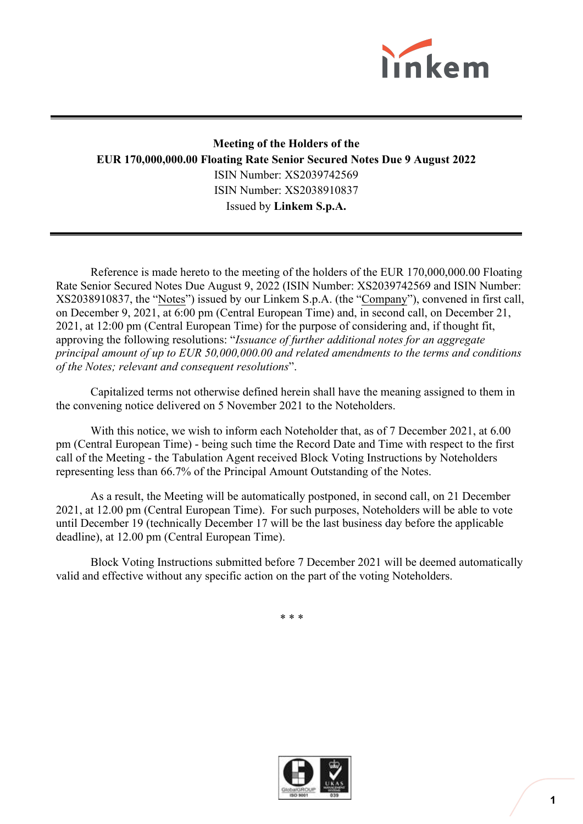

# **Meeting of the Holders of the EUR 170,000,000.00 Floating Rate Senior Secured Notes Due 9 August 2022** ISIN Number: XS2039742569 ISIN Number: XS2038910837 Issued by **Linkem S.p.A.**

Reference is made hereto to the meeting of the holders of the EUR 170,000,000.00 Floating Rate Senior Secured Notes Due August 9, 2022 (ISIN Number: XS2039742569 and ISIN Number: XS2038910837, the "Notes") issued by our Linkem S.p.A. (the "Company"), convened in first call, on December 9, 2021, at 6:00 pm (Central European Time) and, in second call, on December 21, 2021, at 12:00 pm (Central European Time) for the purpose of considering and, if thought fit, approving the following resolutions: "*Issuance of further additional notes for an aggregate principal amount of up to EUR 50,000,000.00 and related amendments to the terms and conditions of the Notes; relevant and consequent resolutions*".

Capitalized terms not otherwise defined herein shall have the meaning assigned to them in the convening notice delivered on 5 November 2021 to the Noteholders.

With this notice, we wish to inform each Noteholder that, as of 7 December 2021, at 6.00 pm (Central European Time) - being such time the Record Date and Time with respect to the first call of the Meeting - the Tabulation Agent received Block Voting Instructions by Noteholders representing less than 66.7% of the Principal Amount Outstanding of the Notes.

As a result, the Meeting will be automatically postponed, in second call, on 21 December 2021, at 12.00 pm (Central European Time). For such purposes, Noteholders will be able to vote until December 19 (technically December 17 will be the last business day before the applicable deadline), at 12.00 pm (Central European Time).

Block Voting Instructions submitted before 7 December 2021 will be deemed automatically valid and effective without any specific action on the part of the voting Noteholders.

\* \* \*